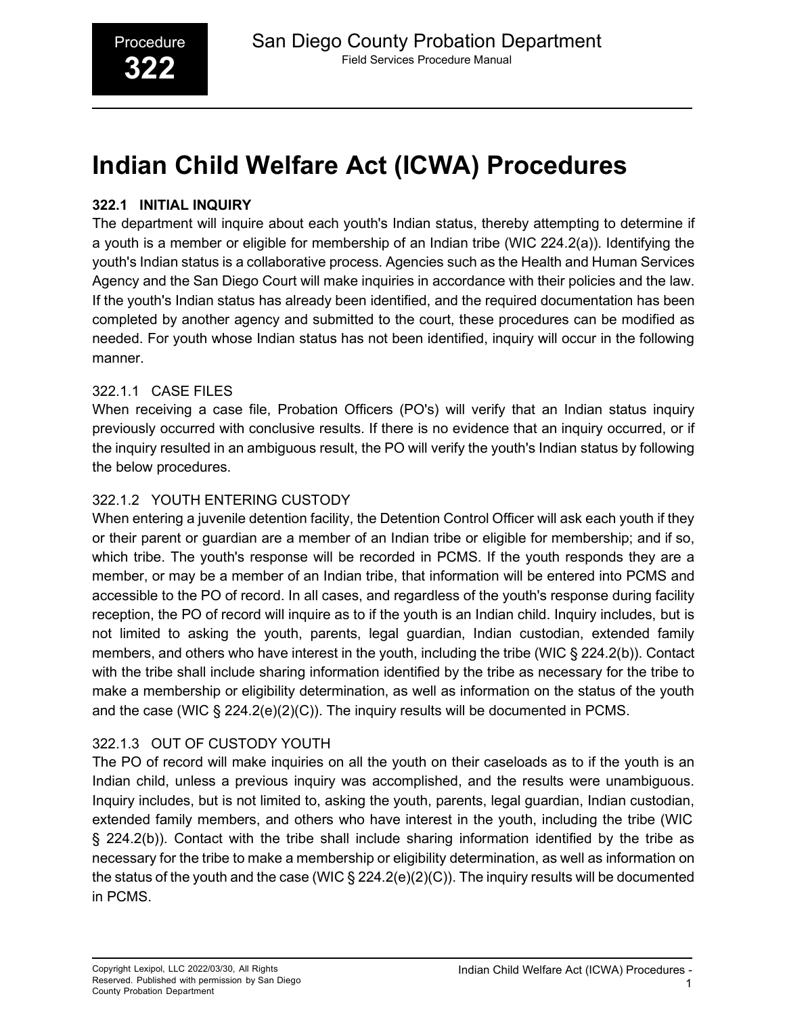# **Indian Child Welfare Act (ICWA) Procedures**

#### **322.1 INITIAL INQUIRY**

The department will inquire about each youth's Indian status, thereby attempting to determine if a youth is a member or eligible for membership of an Indian tribe (WIC 224.2(a)). Identifying the youth's Indian status is a collaborative process. Agencies such as the Health and Human Services Agency and the San Diego Court will make inquiries in accordance with their policies and the law. If the youth's Indian status has already been identified, and the required documentation has been completed by another agency and submitted to the court, these procedures can be modified as needed. For youth whose Indian status has not been identified, inquiry will occur in the following manner.

# 322.1.1 CASE FILES

When receiving a case file, Probation Officers (PO's) will verify that an Indian status inquiry previously occurred with conclusive results. If there is no evidence that an inquiry occurred, or if the inquiry resulted in an ambiguous result, the PO will verify the youth's Indian status by following the below procedures.

# 322.1.2 YOUTH ENTERING CUSTODY

When entering a juvenile detention facility, the Detention Control Officer will ask each youth if they or their parent or guardian are a member of an Indian tribe or eligible for membership; and if so, which tribe. The youth's response will be recorded in PCMS. If the youth responds they are a member, or may be a member of an Indian tribe, that information will be entered into PCMS and accessible to the PO of record. In all cases, and regardless of the youth's response during facility reception, the PO of record will inquire as to if the youth is an Indian child. Inquiry includes, but is not limited to asking the youth, parents, legal guardian, Indian custodian, extended family members, and others who have interest in the youth, including the tribe (WIC § 224.2(b)). Contact with the tribe shall include sharing information identified by the tribe as necessary for the tribe to make a membership or eligibility determination, as well as information on the status of the youth and the case (WIC  $\S 224.2(e)(2)(C)$ ). The inquiry results will be documented in PCMS.

# 322.1.3 OUT OF CUSTODY YOUTH

The PO of record will make inquiries on all the youth on their caseloads as to if the youth is an Indian child, unless a previous inquiry was accomplished, and the results were unambiguous. Inquiry includes, but is not limited to, asking the youth, parents, legal guardian, Indian custodian, extended family members, and others who have interest in the youth, including the tribe (WIC § 224.2(b)). Contact with the tribe shall include sharing information identified by the tribe as necessary for the tribe to make a membership or eligibility determination, as well as information on the status of the youth and the case (WIC § 224.2(e)(2)(C)). The inquiry results will be documented in PCMS.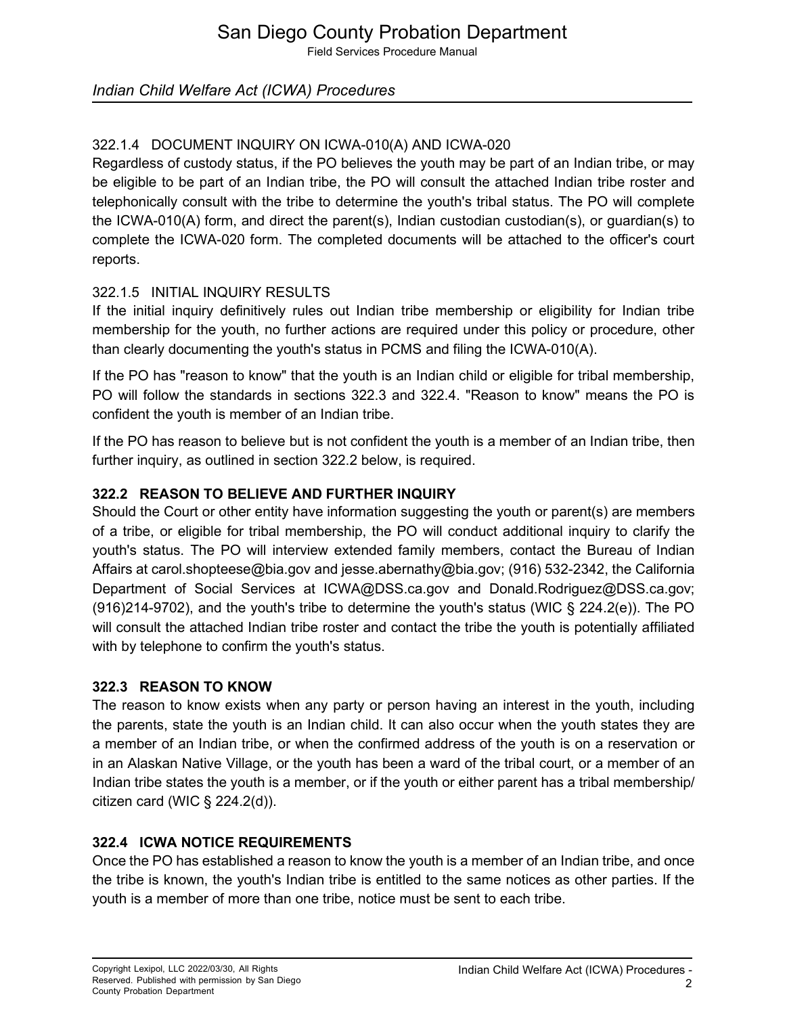Field Services Procedure Manual

## *Indian Child Welfare Act (ICWA) Procedures*

# 322.1.4 DOCUMENT INQUIRY ON ICWA-010(A) AND ICWA-020

Regardless of custody status, if the PO believes the youth may be part of an Indian tribe, or may be eligible to be part of an Indian tribe, the PO will consult the attached Indian tribe roster and telephonically consult with the tribe to determine the youth's tribal status. The PO will complete the ICWA-010(A) form, and direct the parent(s), Indian custodian custodian(s), or guardian(s) to complete the ICWA-020 form. The completed documents will be attached to the officer's court reports.

#### 322.1.5 INITIAL INQUIRY RESULTS

If the initial inquiry definitively rules out Indian tribe membership or eligibility for Indian tribe membership for the youth, no further actions are required under this policy or procedure, other than clearly documenting the youth's status in PCMS and filing the ICWA-010(A).

If the PO has "reason to know" that the youth is an Indian child or eligible for tribal membership, PO will follow the standards in sections 322.3 and 322.4. "Reason to know" means the PO is confident the youth is member of an Indian tribe.

If the PO has reason to believe but is not confident the youth is a member of an Indian tribe, then further inquiry, as outlined in section 322.2 below, is required.

## **322.2 REASON TO BELIEVE AND FURTHER INQUIRY**

Should the Court or other entity have information suggesting the youth or parent(s) are members of a tribe, or eligible for tribal membership, the PO will conduct additional inquiry to clarify the youth's status. The PO will interview extended family members, contact the Bureau of Indian Affairs at [carol.shopteese@bia.gov](mailto:shopteese@bia.gov) and [jesse.abernathy@bia.gov;](mailto:abernathy@bia.gov) (916) 532-2342, the California [Department of Social Services at](mailto:abernathy@bia.gov) [ICWA@DSS.ca.gov and](mailto:ICWA@DSS.ca.gov) [Donald.Rodriguez@DSS.ca.gov;](mailto:Rodriguez@DSS.ca.gov)  [\(916\)214-9702\), and the youth's tribe to determine the youth's status \(WIC § 224.2\(e\)\). The PO](mailto:Rodriguez@DSS.ca.gov)  [will consult the attached Indian tribe roster and contact the tribe the youth is potentially affiliated](mailto:Rodriguez@DSS.ca.gov)  [with by telephone to confirm the youth's status.](mailto:Rodriguez@DSS.ca.gov)

#### **322.3 REASON TO KNOW**

The reason to know exists when any party or person having an interest in the youth, including the parents, state the youth is an Indian child. It can also occur when the youth states they are a member of an Indian tribe, or when the confirmed address of the youth is on a reservation or in an Alaskan Native Village, or the youth has been a ward of the tribal court, or a member of an Indian tribe states the youth is a member, or if the youth or either parent has a tribal membership/ citizen card (WIC  $\S$  224.2(d)).

#### **322.4 ICWA NOTICE REQUIREMENTS**

Once the PO has established a reason to know the youth is a member of an Indian tribe, and once the tribe is known, the youth's Indian tribe is entitled to the same notices as other parties. If the youth is a member of more than one tribe, notice must be sent to each tribe.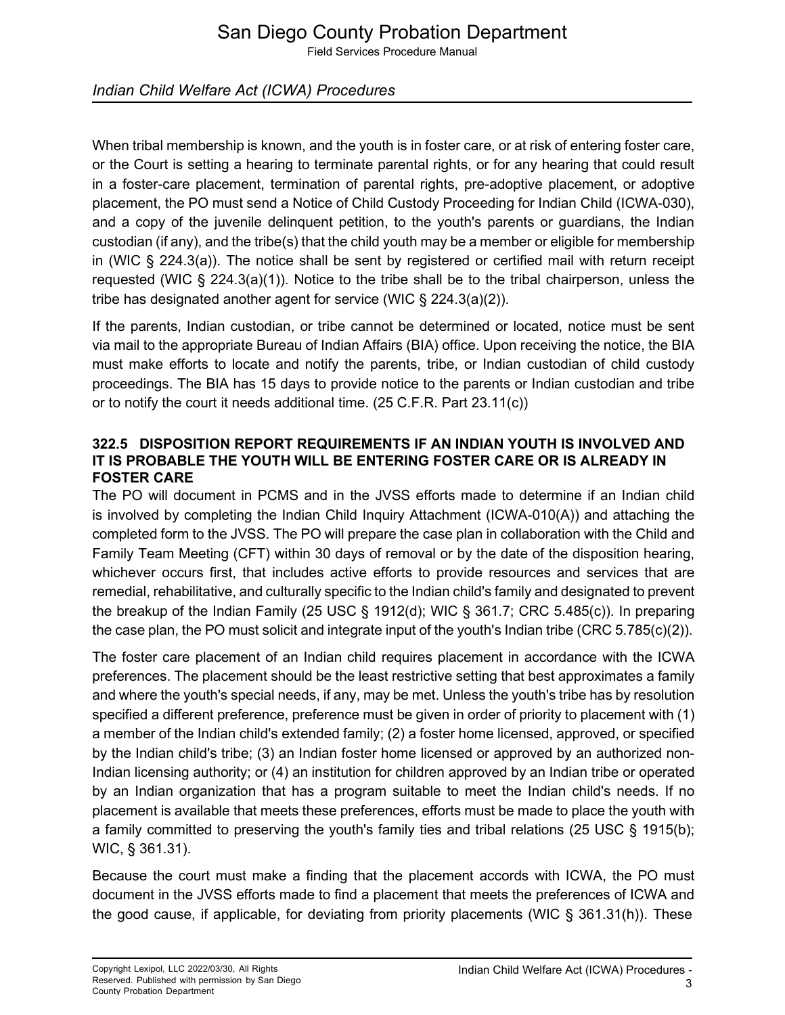# San Diego County Probation Department

Field Services Procedure Manual

## *Indian Child Welfare Act (ICWA) Procedures*

When tribal membership is known, and the youth is in foster care, or at risk of entering foster care, or the Court is setting a hearing to terminate parental rights, or for any hearing that could result in a foster-care placement, termination of parental rights, pre-adoptive placement, or adoptive placement, the PO must send a Notice of Child Custody Proceeding for Indian Child (ICWA-030), and a copy of the juvenile delinquent petition, to the youth's parents or guardians, the Indian custodian (if any), and the tribe(s) that the child youth may be a member or eligible for membership in (WIC § 224.3(a)). The notice shall be sent by registered or certified mail with return receipt requested (WIC  $\S$  224.3(a)(1)). Notice to the tribe shall be to the tribal chairperson, unless the tribe has designated another agent for service (WIC § 224.3(a)(2)).

If the parents, Indian custodian, or tribe cannot be determined or located, notice must be sent via mail to the appropriate Bureau of Indian Affairs (BIA) office. Upon receiving the notice, the BIA must make efforts to locate and notify the parents, tribe, or Indian custodian of child custody proceedings. The BIA has 15 days to provide notice to the parents or Indian custodian and tribe or to notify the court it needs additional time. (25 C.F.R. Part 23.11(c))

#### **322.5 DISPOSITION REPORT REQUIREMENTS IF AN INDIAN YOUTH IS INVOLVED AND IT IS PROBABLE THE YOUTH WILL BE ENTERING FOSTER CARE OR IS ALREADY IN FOSTER CARE**

The PO will document in PCMS and in the JVSS efforts made to determine if an Indian child is involved by completing the Indian Child Inquiry Attachment (ICWA-010(A)) and attaching the completed form to the JVSS. The PO will prepare the case plan in collaboration with the Child and Family Team Meeting (CFT) within 30 days of removal or by the date of the disposition hearing, whichever occurs first, that includes active efforts to provide resources and services that are remedial, rehabilitative, and culturally specific to the Indian child's family and designated to prevent the breakup of the Indian Family (25 USC § 1912(d); WIC § 361.7; CRC 5.485(c)). In preparing the case plan, the PO must solicit and integrate input of the youth's Indian tribe (CRC  $5.785(c)(2)$ ).

The foster care placement of an Indian child requires placement in accordance with the ICWA preferences. The placement should be the least restrictive setting that best approximates a family and where the youth's special needs, if any, may be met. Unless the youth's tribe has by resolution specified a different preference, preference must be given in order of priority to placement with (1) a member of the Indian child's extended family; (2) a foster home licensed, approved, or specified by the Indian child's tribe; (3) an Indian foster home licensed or approved by an authorized non-Indian licensing authority; or (4) an institution for children approved by an Indian tribe or operated by an Indian organization that has a program suitable to meet the Indian child's needs. If no placement is available that meets these preferences, efforts must be made to place the youth with a family committed to preserving the youth's family ties and tribal relations (25 USC § 1915(b); WIC, § 361.31).

Because the court must make a finding that the placement accords with ICWA, the PO must document in the JVSS efforts made to find a placement that meets the preferences of ICWA and the good cause, if applicable, for deviating from priority placements (WIC § 361.31(h)). These